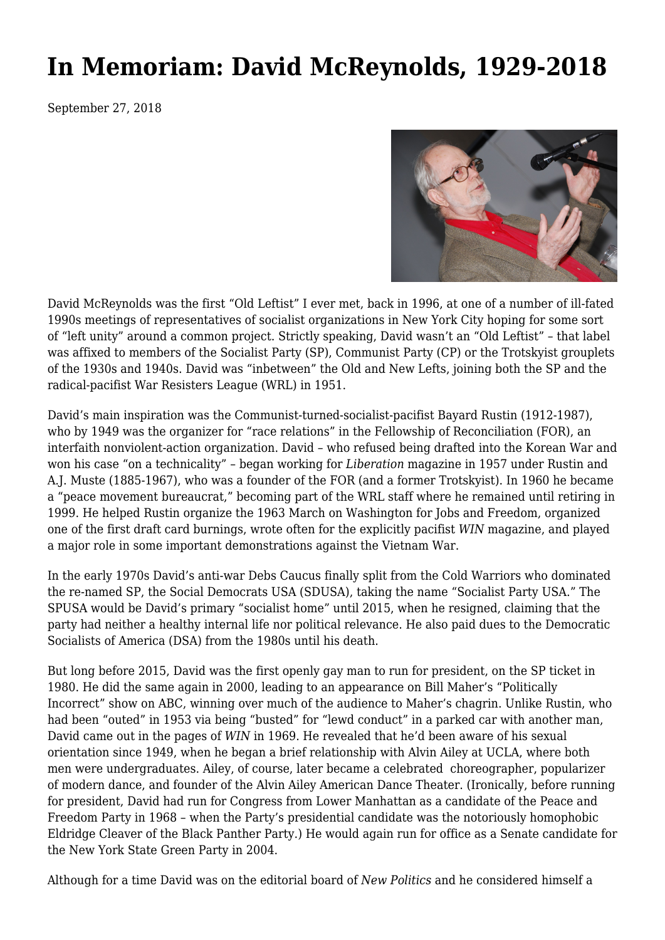## **[In Memoriam: David McReynolds, 1929-2018](https://newpol.org/memoriam-david-mcreynolds-19292018-0/)**

September 27, 2018



David McReynolds was the first "Old Leftist" I ever met, back in 1996, at one of a number of ill-fated 1990s meetings of representatives of socialist organizations in New York City hoping for some sort of "left unity" around a common project. Strictly speaking, David wasn't an "Old Leftist" – that label was affixed to members of the Socialist Party (SP), Communist Party (CP) or the Trotskyist grouplets of the 1930s and 1940s. David was "inbetween" the Old and New Lefts, joining both the SP and the radical-pacifist War Resisters League (WRL) in 1951.

David's main inspiration was the Communist-turned-socialist-pacifist Bayard Rustin (1912-1987), who by 1949 was the organizer for "race relations" in the Fellowship of Reconciliation (FOR), an interfaith nonviolent-action organization. David – who refused being drafted into the Korean War and won his case "on a technicality" – began working for *Liberation* magazine in 1957 under Rustin and A.J. Muste (1885-1967), who was a founder of the FOR (and a former Trotskyist). In 1960 he became a "peace movement bureaucrat," becoming part of the WRL staff where he remained until retiring in 1999. He helped Rustin organize the 1963 March on Washington for Jobs and Freedom, organized one of the first draft card burnings, wrote often for the explicitly pacifist *WIN* magazine, and played a major role in some important demonstrations against the Vietnam War.

In the early 1970s David's anti-war Debs Caucus finally split from the Cold Warriors who dominated the re-named SP, the [Social Democrats USA](https://en.wikipedia.org/wiki/Social_Democrats%2C_USA) (SDUSA), taking the name ["Socialist Party USA](https://en.wikipedia.org/wiki/Socialist_Party_USA)." The SPUSA would be David's primary "socialist home" until 2015, when he resigned, claiming that the party had neither a healthy internal life nor political relevance. He also paid dues to the Democratic Socialists of America (DSA) from the 1980s until his death.

But long before 2015, David was the first openly gay man to run for president, on the SP ticket in 1980. He did the same again in 2000, leading to an appearance on Bill Maher's "Politically Incorrect" show on ABC, winning over much of the audience to Maher's chagrin. Unlike Rustin, who had been "outed" in 1953 via being "busted" for "lewd conduct" in a parked car with another man, David came out in the pages of *WIN* in 1969. He revealed that he'd been aware of his sexual orientation since 1949, when he began a brief relationship with Alvin Ailey at UCLA, where both men were undergraduates. Ailey, of course, later became a celebrated choreographer, popularizer of modern dance, and founder of the Alvin Ailey American Dance Theater. (Ironically, before running for president, David had run for Congress from Lower Manhattan as a candidate of the [Peace and](https://en.wikipedia.org/wiki/Peace_and_Freedom_Party) [Freedom Party](https://en.wikipedia.org/wiki/Peace_and_Freedom_Party) in 1968 – when the Party's presidential candidate was the notoriously homophobic Eldridge Cleaver of the Black Panther Party.) He would again run for office as a Senate candidate for the New York State Green Party in 2004.

Although for a time David was on the editorial board of *New Politics* and he considered himself a